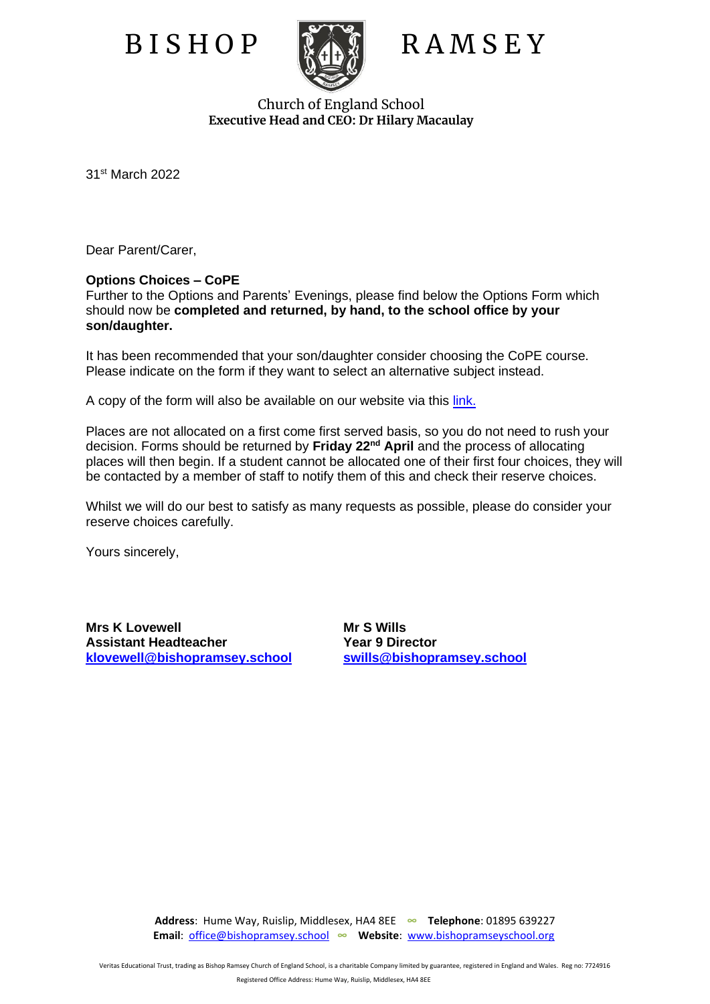

## B I S H O P RA M S E Y

Church of England School **Executive Head and CEO: Dr Hilary Macaulay**

31st March 2022

Dear Parent/Carer,

## **Options Choices – CoPE**

Further to the Options and Parents' Evenings, please find below the Options Form which should now be **completed and returned, by hand, to the school office by your son/daughter.**

It has been recommended that your son/daughter consider choosing the CoPE course. Please indicate on the form if they want to select an alternative subject instead.

A copy of the form will also be available on our website via this [link.](https://www.bishopramseyschool.org/page/?title=Year+9+Learning+Journey+Information&pid=1306)

Places are not allocated on a first come first served basis, so you do not need to rush your decision. Forms should be returned by **Friday 22nd April** and the process of allocating places will then begin. If a student cannot be allocated one of their first four choices, they will be contacted by a member of staff to notify them of this and check their reserve choices.

Whilst we will do our best to satisfy as many requests as possible, please do consider your reserve choices carefully.

Yours sincerely,

**Mrs K Lovewell Mr S Wills Assistant Headteacher Theory Construction Construction Pressure Pressure Assistant Pressure Assistant Pressure Assistant Pressure Assistant Pressure Assistant Pressure Assistant Pressure Association Assistant Pressure Ass [klovewell@bishopramsey.school](mailto:klovewell@bishopramsey.school) [swills@bishopramsey.school](mailto:swills@bishopramsey.school)**

**Address**: Hume Way, Ruislip, Middlesex, HA4 8EE **∞ Telephone**: 01895 639227  **Email**: [office@bishopramsey.school](mailto:office@bishopramsey.school) **∞ Website**: [www.bishopramseyschool.org](http://www.bishopramseyschool.org/)